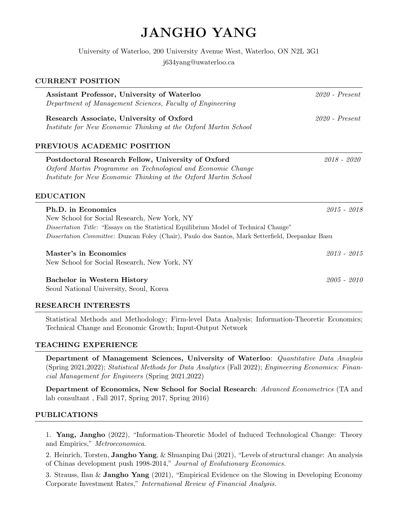# JANGHO YANG

University of Waterloo, 200 University Avenue West, Waterloo, ON N2L 3G1

j634yang@uwaterloo.ca

# CURRENT POSITION

| Assistant Professor, University of Waterloo<br>Department of Management Sciences, Faculty of Engineering                                                                                                                                                        | $2020$ - Present |
|-----------------------------------------------------------------------------------------------------------------------------------------------------------------------------------------------------------------------------------------------------------------|------------------|
| Research Associate, University of Oxford<br>Institute for New Economic Thinking at the Oxford Martin School                                                                                                                                                     | $2020$ - Present |
| PREVIOUS ACADEMIC POSITION                                                                                                                                                                                                                                      |                  |
| Postdoctoral Research Fellow, University of Oxford<br>Oxford Martin Programme on Technological and Economic Change<br>Institute for New Economic Thinking at the Oxford Martin School                                                                           | $2018 - 2020$    |
| <b>EDUCATION</b>                                                                                                                                                                                                                                                |                  |
| Ph.D. in Economics<br>New School for Social Research, New York, NY<br>Dissertation Title: "Essays on the Statistical Equilibrium Model of Technical Change"<br>Dissertation Committee: Duncan Foley (Chair), Paulo dos Santos, Mark Setterfield, Deepankar Basu | $2015 - 2018$    |
| Master's in Economics<br>New School for Social Research, New York, NY                                                                                                                                                                                           | $2013 - 2015$    |
| <b>Bachelor in Western History</b><br>Seoul National University, Seoul, Korea                                                                                                                                                                                   | 2005 - 2010      |

# RESEARCH INTERESTS

Statistical Methods and Methodology; Firm-level Data Analysis; Information-Theoretic Economics; Technical Change and Economic Growth; Input-Output Network

## TEACHING EXPERIENCE

Department of Management Sciences, University of Waterloo: Quantitative Data Anaylsis (Spring 2021,2022); Statistical Methods for Data Analytics (Fall 2022); Engineering Economics: Financial Management for Engineers (Spring 2021,2022)

Department of Economics, New School for Social Research: Advanced Econometrics (TA and lab consultant , Fall 2017, Spring 2017, Spring 2016)

## PUBLICATIONS

1. Yang, Jangho (2022), "Information-Theoretic Model of Induced Technological Change: Theory and Empirics," Metroeconomica.

2. Heinrich, Torsten, Jangho Yang, & Shuanping Dai (2021), "Levels of structural change: An analysis of Chinas development push 1998-2014," Journal of Evolutionary Economics.

3. Strauss, Ilan & Jangho Yang (2021), "Empirical Evidence on the Slowing in Developing Economy Corporate Investment Rates," International Review of Financial Analysis.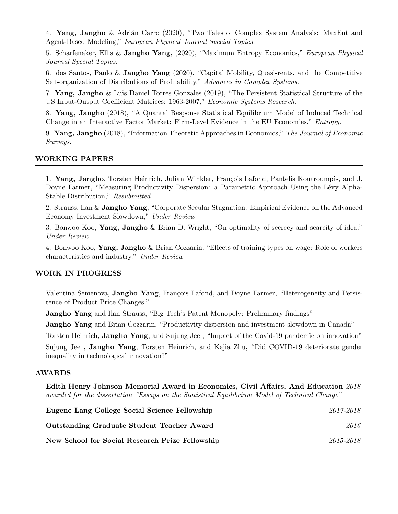4. Yang, Jangho & Adrián Carro (2020), "Two Tales of Complex System Analysis: MaxEnt and Agent-Based Modeling," European Physical Journal Special Topics.

5. Scharfenaker, Ellis & Jangho Yang, (2020), "Maximum Entropy Economics," European Physical Journal Special Topics.

6. dos Santos, Paulo & Jangho Yang (2020), "Capital Mobility, Quasi-rents, and the Competitive Self-organization of Distributions of Profitability," Advances in Complex Systems.

7. Yang, Jangho & Luis Daniel Torres Gonzales (2019), "The Persistent Statistical Structure of the US Input-Output Coefficient Matrices: 1963-2007," Economic Systems Research.

8. Yang, Jangho (2018), "A Quantal Response Statistical Equilibrium Model of Induced Technical Change in an Interactive Factor Market: Firm-Level Evidence in the EU Economies," Entropy.

9. Yang, Jangho (2018), "Information Theoretic Approaches in Economics," The Journal of Economic Surveys.

## WORKING PAPERS

1. Yang, Jangho, Torsten Heinrich, Julian Winkler, François Lafond, Pantelis Koutroumpis, and J. Doyne Farmer, "Measuring Productivity Dispersion: a Parametric Approach Using the Lévy Alpha-Stable Distribution," Resubmitted

2. Strauss, Ilan & Jangho Yang, "Corporate Secular Stagnation: Empirical Evidence on the Advanced Economy Investment Slowdown," Under Review

3. Bonwoo Koo, Yang, Jangho & Brian D. Wright, "On optimality of secrecy and scarcity of idea." Under Review

4. Bonwoo Koo, Yang, Jangho & Brian Cozzarin, "Effects of training types on wage: Role of workers characteristics and industry." Under Review

### WORK IN PROGRESS

Valentina Semenova, **Jangho Yang**, François Lafond, and Doyne Farmer, "Heterogeneity and Persistence of Product Price Changes."

**Jangho Yang** and Ilan Strauss, "Big Tech's Patent Monopoly: Preliminary findings"

Jangho Yang and Brian Cozzarin, "Productivity dispersion and investment slowdown in Canada"

Torsten Heinrich, Jangho Yang, and Sujung Jee, "Impact of the Covid-19 pandemic on innovation" Sujung Jee , Jangho Yang, Torsten Heinrich, and Kejia Zhu, "Did COVID-19 deteriorate gender inequality in technological innovation?"

#### AWARDS

Edith Henry Johnson Memorial Award in Economics, Civil Affairs, And Education 2018 awarded for the dissertation "Essays on the Statistical Equilibrium Model of Technical Change"

| Eugene Lang College Social Science Fellowship     | 2017-2018 |
|---------------------------------------------------|-----------|
| <b>Outstanding Graduate Student Teacher Award</b> | 2016      |
| New School for Social Research Prize Fellowship   | 2015-2018 |